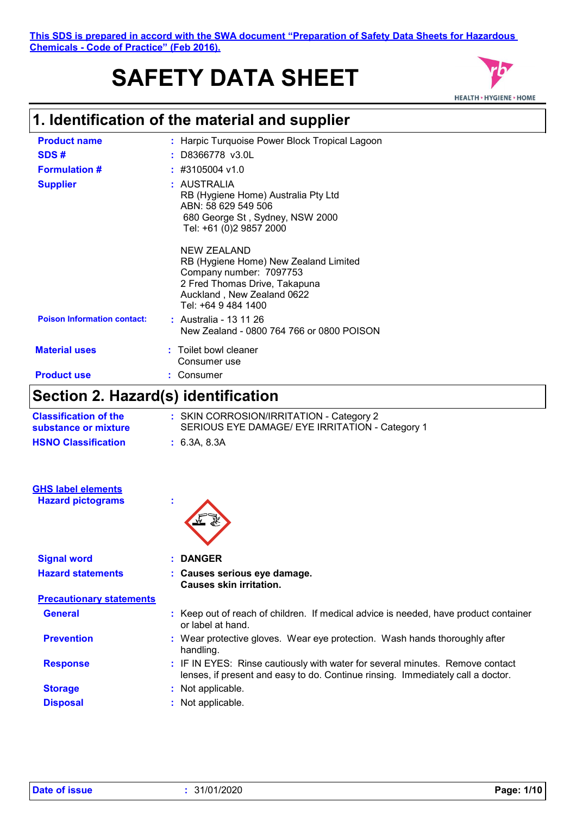# **SAFETY DATA SHEET**



# **1. Identification of the material and supplier**

| Section 2. Hazard(s) identification |                                                                                                                                                                       |  |
|-------------------------------------|-----------------------------------------------------------------------------------------------------------------------------------------------------------------------|--|
| <b>Product use</b>                  | : Consumer                                                                                                                                                            |  |
| <b>Material uses</b>                | : Toilet bowl cleaner<br>Consumer use                                                                                                                                 |  |
| <b>Poison Information contact:</b>  | : Australia - 13 11 26<br>New Zealand - 0800 764 766 or 0800 POISON                                                                                                   |  |
|                                     | NEW ZEALAND<br>RB (Hygiene Home) New Zealand Limited<br>Company number: 7097753<br>2 Fred Thomas Drive, Takapuna<br>Auckland, New Zealand 0622<br>Tel: +64 9 484 1400 |  |
| <b>Supplier</b>                     | : AUSTRALIA<br>RB (Hygiene Home) Australia Pty Ltd<br>ABN: 58 629 549 506<br>680 George St, Sydney, NSW 2000<br>Tel: +61 (0)2 9857 2000                               |  |
| <b>Formulation #</b>                | #3105004 v1.0                                                                                                                                                         |  |
| SDS#                                | D8366778 v3.0L                                                                                                                                                        |  |
| <b>Product name</b>                 | : Harpic Turquoise Power Block Tropical Lagoon                                                                                                                        |  |

| <b>Classification of the</b><br>substance or mixture  | : SKIN CORROSION/IRRITATION - Category 2<br>SERIOUS EYE DAMAGE/ EYE IRRITATION - Category 1 |
|-------------------------------------------------------|---------------------------------------------------------------------------------------------|
| <b>HSNO Classification</b>                            | : 6.3A, 8.3A                                                                                |
| <b>GHS label elements</b><br><b>Hazard pictograms</b> | ×.                                                                                          |

| <b>Signal word</b>              | : DANGER                                                                                                                                                         |  |
|---------------------------------|------------------------------------------------------------------------------------------------------------------------------------------------------------------|--|
| <b>Hazard statements</b>        | : Causes serious eye damage.<br><b>Causes skin irritation.</b>                                                                                                   |  |
| <b>Precautionary statements</b> |                                                                                                                                                                  |  |
| <b>General</b>                  | : Keep out of reach of children. If medical advice is needed, have product container<br>or label at hand.                                                        |  |
| <b>Prevention</b>               | : Wear protective gloves. Wear eye protection. Wash hands thoroughly after<br>handling.                                                                          |  |
| <b>Response</b>                 | : IF IN EYES: Rinse cautiously with water for several minutes. Remove contact<br>lenses, if present and easy to do. Continue rinsing. Immediately call a doctor. |  |
| <b>Storage</b>                  | : Not applicable.                                                                                                                                                |  |
| <b>Disposal</b>                 | : Not applicable.                                                                                                                                                |  |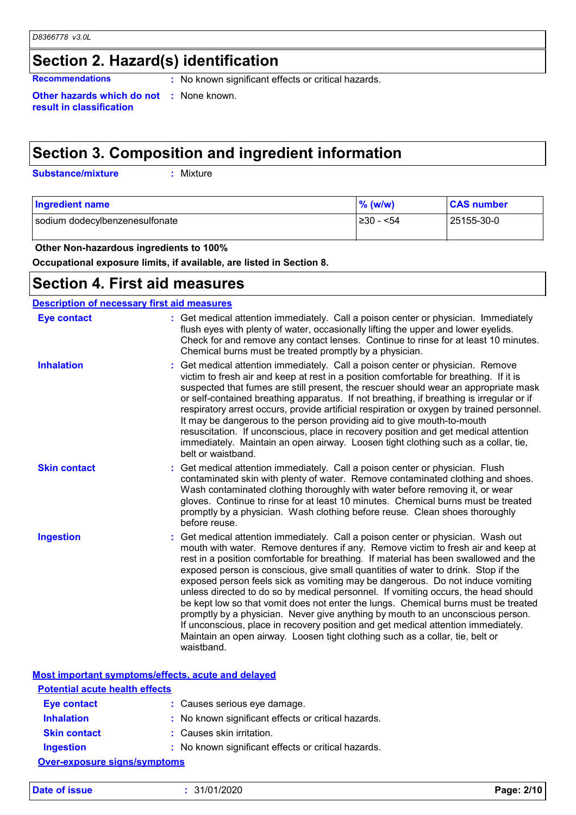### **Section 2. Hazard(s) identification**

**Recommendations** : No known significant effects or critical hazards.

**Other hazards which do not :** None known. **result in classification**

# **Section 3. Composition and ingredient information**

**Substance/mixture :**

: Mixture

| <b>Ingredient name</b>         | $\%$ (w/w) | <b>CAS number</b> |
|--------------------------------|------------|-------------------|
| sodium dodecylbenzenesulfonate | ⊺≥30 - <54 | 25155-30-0        |

 **Other Non-hazardous ingredients to 100%**

**Occupational exposure limits, if available, are listed in Section 8.**

### **Section 4. First aid measures**

| <b>Description of necessary first aid measures</b> |                                                                                                                                                                                                                                                                                                                                                                                                                                                                                                                                                                                                                                                                                                                                                                                                                                                                                      |
|----------------------------------------------------|--------------------------------------------------------------------------------------------------------------------------------------------------------------------------------------------------------------------------------------------------------------------------------------------------------------------------------------------------------------------------------------------------------------------------------------------------------------------------------------------------------------------------------------------------------------------------------------------------------------------------------------------------------------------------------------------------------------------------------------------------------------------------------------------------------------------------------------------------------------------------------------|
| <b>Eye contact</b>                                 | : Get medical attention immediately. Call a poison center or physician. Immediately<br>flush eyes with plenty of water, occasionally lifting the upper and lower eyelids.<br>Check for and remove any contact lenses. Continue to rinse for at least 10 minutes.<br>Chemical burns must be treated promptly by a physician.                                                                                                                                                                                                                                                                                                                                                                                                                                                                                                                                                          |
| <b>Inhalation</b>                                  | Get medical attention immediately. Call a poison center or physician. Remove<br>victim to fresh air and keep at rest in a position comfortable for breathing. If it is<br>suspected that fumes are still present, the rescuer should wear an appropriate mask<br>or self-contained breathing apparatus. If not breathing, if breathing is irregular or if<br>respiratory arrest occurs, provide artificial respiration or oxygen by trained personnel.<br>It may be dangerous to the person providing aid to give mouth-to-mouth<br>resuscitation. If unconscious, place in recovery position and get medical attention<br>immediately. Maintain an open airway. Loosen tight clothing such as a collar, tie,<br>belt or waistband.                                                                                                                                                  |
| <b>Skin contact</b>                                | : Get medical attention immediately. Call a poison center or physician. Flush<br>contaminated skin with plenty of water. Remove contaminated clothing and shoes.<br>Wash contaminated clothing thoroughly with water before removing it, or wear<br>gloves. Continue to rinse for at least 10 minutes. Chemical burns must be treated<br>promptly by a physician. Wash clothing before reuse. Clean shoes thoroughly<br>before reuse.                                                                                                                                                                                                                                                                                                                                                                                                                                                |
| <b>Ingestion</b>                                   | Get medical attention immediately. Call a poison center or physician. Wash out<br>mouth with water. Remove dentures if any. Remove victim to fresh air and keep at<br>rest in a position comfortable for breathing. If material has been swallowed and the<br>exposed person is conscious, give small quantities of water to drink. Stop if the<br>exposed person feels sick as vomiting may be dangerous. Do not induce vomiting<br>unless directed to do so by medical personnel. If vomiting occurs, the head should<br>be kept low so that vomit does not enter the lungs. Chemical burns must be treated<br>promptly by a physician. Never give anything by mouth to an unconscious person.<br>If unconscious, place in recovery position and get medical attention immediately.<br>Maintain an open airway. Loosen tight clothing such as a collar, tie, belt or<br>waistband. |

**Most important symptoms/effects, acute and delayed**

| <b>Potential acute health effects</b> |                                                     |
|---------------------------------------|-----------------------------------------------------|
| <b>Eye contact</b>                    | : Causes serious eye damage.                        |
| <b>Inhalation</b>                     | : No known significant effects or critical hazards. |
| <b>Skin contact</b>                   | : Causes skin irritation.                           |
| Ingestion                             | : No known significant effects or critical hazards. |
| <b>Over-exposure signs/symptoms</b>   |                                                     |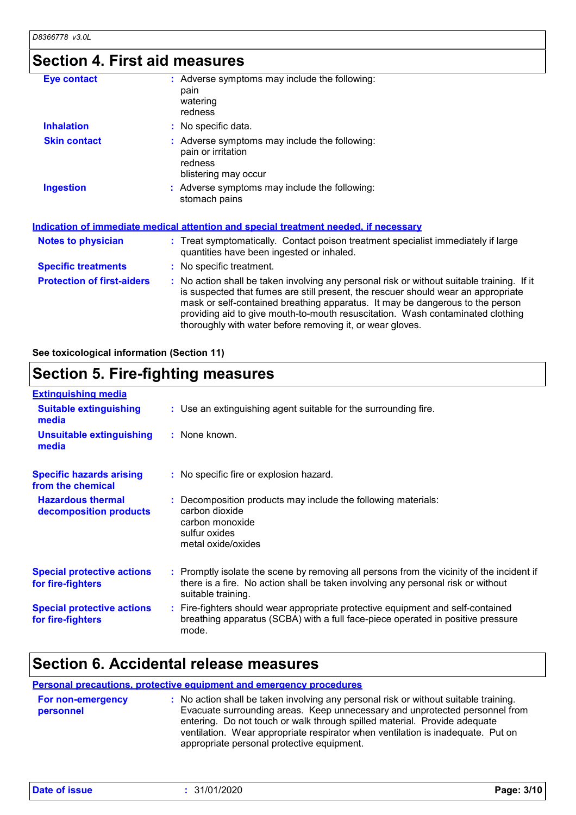# **Section 4. First aid measures**

| <b>Eye contact</b>                | : Adverse symptoms may include the following:<br>pain<br>watering<br>redness                                                                                                                                                                                                                                                                                                                                    |
|-----------------------------------|-----------------------------------------------------------------------------------------------------------------------------------------------------------------------------------------------------------------------------------------------------------------------------------------------------------------------------------------------------------------------------------------------------------------|
| <b>Inhalation</b>                 | : No specific data.                                                                                                                                                                                                                                                                                                                                                                                             |
| <b>Skin contact</b>               | : Adverse symptoms may include the following:<br>pain or irritation<br>redness<br>blistering may occur                                                                                                                                                                                                                                                                                                          |
| <b>Ingestion</b>                  | : Adverse symptoms may include the following:<br>stomach pains                                                                                                                                                                                                                                                                                                                                                  |
|                                   | <u>Indication of immediate medical attention and special treatment needed, if necessary</u>                                                                                                                                                                                                                                                                                                                     |
| <b>Notes to physician</b>         | : Treat symptomatically. Contact poison treatment specialist immediately if large<br>quantities have been ingested or inhaled.                                                                                                                                                                                                                                                                                  |
| <b>Specific treatments</b>        | : No specific treatment.                                                                                                                                                                                                                                                                                                                                                                                        |
| <b>Protection of first-aiders</b> | : No action shall be taken involving any personal risk or without suitable training. If it<br>is suspected that fumes are still present, the rescuer should wear an appropriate<br>mask or self-contained breathing apparatus. It may be dangerous to the person<br>providing aid to give mouth-to-mouth resuscitation. Wash contaminated clothing<br>thoroughly with water before removing it, or wear gloves. |

**See toxicological information (Section 11)**

### **Section 5. Fire-fighting measures**

| <b>Extinguishing media</b>                             |                                                                                                                                                                                                     |
|--------------------------------------------------------|-----------------------------------------------------------------------------------------------------------------------------------------------------------------------------------------------------|
| <b>Suitable extinguishing</b><br>media                 | : Use an extinguishing agent suitable for the surrounding fire.                                                                                                                                     |
| <b>Unsuitable extinguishing</b><br>media               | : None known.                                                                                                                                                                                       |
| <b>Specific hazards arising</b><br>from the chemical   | : No specific fire or explosion hazard.                                                                                                                                                             |
| <b>Hazardous thermal</b><br>decomposition products     | : Decomposition products may include the following materials:<br>carbon dioxide<br>carbon monoxide<br>sulfur oxides<br>metal oxide/oxides                                                           |
| <b>Special protective actions</b><br>for fire-fighters | : Promptly isolate the scene by removing all persons from the vicinity of the incident if<br>there is a fire. No action shall be taken involving any personal risk or without<br>suitable training. |
| <b>Special protective actions</b><br>for fire-fighters | : Fire-fighters should wear appropriate protective equipment and self-contained<br>breathing apparatus (SCBA) with a full face-piece operated in positive pressure<br>mode.                         |

### **Section 6. Accidental release measures**

#### **Personal precautions, protective equipment and emergency procedures**

| For non-emergency | : No action shall be taken involving any personal risk or without suitable training. |
|-------------------|--------------------------------------------------------------------------------------|
| personnel         | Evacuate surrounding areas. Keep unnecessary and unprotected personnel from          |
|                   | entering. Do not touch or walk through spilled material. Provide adequate            |
|                   | ventilation. Wear appropriate respirator when ventilation is inadequate. Put on      |
|                   | appropriate personal protective equipment.                                           |
|                   |                                                                                      |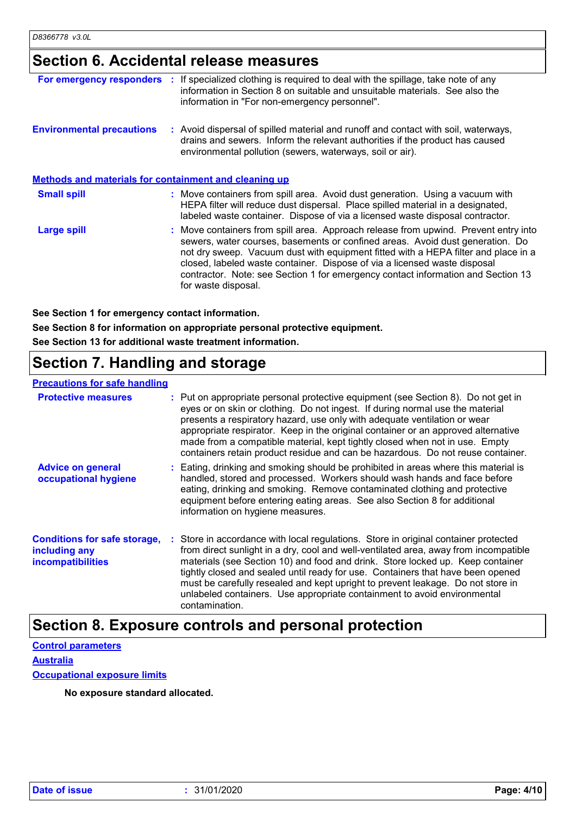### **Section 6. Accidental release measures**

|                                                              | <b>For emergency responders</b> : If specialized clothing is required to deal with the spillage, take note of any<br>information in Section 8 on suitable and unsuitable materials. See also the<br>information in "For non-emergency personnel".                                                                                                                                                                                                  |
|--------------------------------------------------------------|----------------------------------------------------------------------------------------------------------------------------------------------------------------------------------------------------------------------------------------------------------------------------------------------------------------------------------------------------------------------------------------------------------------------------------------------------|
| <b>Environmental precautions</b>                             | : Avoid dispersal of spilled material and runoff and contact with soil, waterways,<br>drains and sewers. Inform the relevant authorities if the product has caused<br>environmental pollution (sewers, waterways, soil or air).                                                                                                                                                                                                                    |
| <b>Methods and materials for containment and cleaning up</b> |                                                                                                                                                                                                                                                                                                                                                                                                                                                    |
| <b>Small spill</b>                                           | : Move containers from spill area. Avoid dust generation. Using a vacuum with<br>HEPA filter will reduce dust dispersal. Place spilled material in a designated,<br>labeled waste container. Dispose of via a licensed waste disposal contractor.                                                                                                                                                                                                  |
| Large spill                                                  | : Move containers from spill area. Approach release from upwind. Prevent entry into<br>sewers, water courses, basements or confined areas. Avoid dust generation. Do<br>not dry sweep. Vacuum dust with equipment fitted with a HEPA filter and place in a<br>closed, labeled waste container. Dispose of via a licensed waste disposal<br>contractor. Note: see Section 1 for emergency contact information and Section 13<br>for waste disposal. |

**See Section 1 for emergency contact information.**

**See Section 8 for information on appropriate personal protective equipment. See Section 13 for additional waste treatment information.**

# **Section 7. Handling and storage**

#### **Precautions for safe handling**

| <b>Protective measures</b>                                                | : Put on appropriate personal protective equipment (see Section 8). Do not get in<br>eyes or on skin or clothing. Do not ingest. If during normal use the material<br>presents a respiratory hazard, use only with adequate ventilation or wear<br>appropriate respirator. Keep in the original container or an approved alternative<br>made from a compatible material, kept tightly closed when not in use. Empty<br>containers retain product residue and can be hazardous. Do not reuse container.                            |
|---------------------------------------------------------------------------|-----------------------------------------------------------------------------------------------------------------------------------------------------------------------------------------------------------------------------------------------------------------------------------------------------------------------------------------------------------------------------------------------------------------------------------------------------------------------------------------------------------------------------------|
| <b>Advice on general</b><br>occupational hygiene                          | : Eating, drinking and smoking should be prohibited in areas where this material is<br>handled, stored and processed. Workers should wash hands and face before<br>eating, drinking and smoking. Remove contaminated clothing and protective<br>equipment before entering eating areas. See also Section 8 for additional<br>information on hygiene measures.                                                                                                                                                                     |
| <b>Conditions for safe storage,</b><br>including any<br>incompatibilities | : Store in accordance with local regulations. Store in original container protected<br>from direct sunlight in a dry, cool and well-ventilated area, away from incompatible<br>materials (see Section 10) and food and drink. Store locked up. Keep container<br>tightly closed and sealed until ready for use. Containers that have been opened<br>must be carefully resealed and kept upright to prevent leakage. Do not store in<br>unlabeled containers. Use appropriate containment to avoid environmental<br>contamination. |

### **Section 8. Exposure controls and personal protection**

**Control parameters Occupational exposure limits Australia**

**No exposure standard allocated.**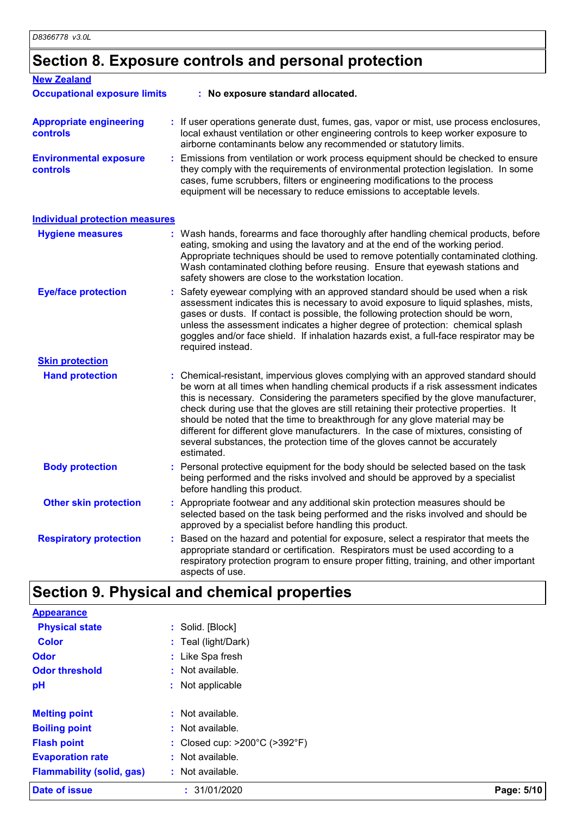**Appearance**

# **Section 8. Exposure controls and personal protection**

| <b>New Zealand</b>                         |                                                                                                                                                                                                                                                                                                                                                                                                                                                                                                                                                                                                                           |
|--------------------------------------------|---------------------------------------------------------------------------------------------------------------------------------------------------------------------------------------------------------------------------------------------------------------------------------------------------------------------------------------------------------------------------------------------------------------------------------------------------------------------------------------------------------------------------------------------------------------------------------------------------------------------------|
| <b>Occupational exposure limits</b>        | : No exposure standard allocated.                                                                                                                                                                                                                                                                                                                                                                                                                                                                                                                                                                                         |
| <b>Appropriate engineering</b><br>controls | : If user operations generate dust, fumes, gas, vapor or mist, use process enclosures,<br>local exhaust ventilation or other engineering controls to keep worker exposure to<br>airborne contaminants below any recommended or statutory limits.                                                                                                                                                                                                                                                                                                                                                                          |
| <b>Environmental exposure</b><br>controls  | : Emissions from ventilation or work process equipment should be checked to ensure<br>they comply with the requirements of environmental protection legislation. In some<br>cases, fume scrubbers, filters or engineering modifications to the process<br>equipment will be necessary to reduce emissions to acceptable levels.                                                                                                                                                                                                                                                                                           |
| <b>Individual protection measures</b>      |                                                                                                                                                                                                                                                                                                                                                                                                                                                                                                                                                                                                                           |
| <b>Hygiene measures</b>                    | : Wash hands, forearms and face thoroughly after handling chemical products, before<br>eating, smoking and using the lavatory and at the end of the working period.<br>Appropriate techniques should be used to remove potentially contaminated clothing.<br>Wash contaminated clothing before reusing. Ensure that eyewash stations and<br>safety showers are close to the workstation location.                                                                                                                                                                                                                         |
| <b>Eye/face protection</b>                 | : Safety eyewear complying with an approved standard should be used when a risk<br>assessment indicates this is necessary to avoid exposure to liquid splashes, mists,<br>gases or dusts. If contact is possible, the following protection should be worn,<br>unless the assessment indicates a higher degree of protection: chemical splash<br>goggles and/or face shield. If inhalation hazards exist, a full-face respirator may be<br>required instead.                                                                                                                                                               |
| <b>Skin protection</b>                     |                                                                                                                                                                                                                                                                                                                                                                                                                                                                                                                                                                                                                           |
| <b>Hand protection</b>                     | : Chemical-resistant, impervious gloves complying with an approved standard should<br>be worn at all times when handling chemical products if a risk assessment indicates<br>this is necessary. Considering the parameters specified by the glove manufacturer,<br>check during use that the gloves are still retaining their protective properties. It<br>should be noted that the time to breakthrough for any glove material may be<br>different for different glove manufacturers. In the case of mixtures, consisting of<br>several substances, the protection time of the gloves cannot be accurately<br>estimated. |
| <b>Body protection</b>                     | : Personal protective equipment for the body should be selected based on the task<br>being performed and the risks involved and should be approved by a specialist<br>before handling this product.                                                                                                                                                                                                                                                                                                                                                                                                                       |
| <b>Other skin protection</b>               | : Appropriate footwear and any additional skin protection measures should be<br>selected based on the task being performed and the risks involved and should be<br>approved by a specialist before handling this product.                                                                                                                                                                                                                                                                                                                                                                                                 |
| <b>Respiratory protection</b>              | Based on the hazard and potential for exposure, select a respirator that meets the<br>appropriate standard or certification. Respirators must be used according to a<br>respiratory protection program to ensure proper fitting, training, and other important<br>aspects of use.                                                                                                                                                                                                                                                                                                                                         |

# **Section 9. Physical and chemical properties**

| Date of issue                    | : 31/01/2020                                       | Page: 5/10 |
|----------------------------------|----------------------------------------------------|------------|
| <b>Flammability (solid, gas)</b> | : Not available.                                   |            |
| <b>Evaporation rate</b>          | : Not available.                                   |            |
| <b>Flash point</b>               | : Closed cup: $>200^{\circ}$ C ( $>392^{\circ}$ F) |            |
| <b>Boiling point</b>             | $:$ Not available.                                 |            |
| <b>Melting point</b>             | $:$ Not available.                                 |            |
| pH                               | : Not applicable                                   |            |
| <b>Odor threshold</b>            | : Not available.                                   |            |
| <b>Odor</b>                      | : Like Spa fresh                                   |            |
| <b>Color</b>                     | : Teal (light/Dark)                                |            |
| <b>Physical state</b>            | : Solid. [Block]                                   |            |
| <u>Appearance</u>                |                                                    |            |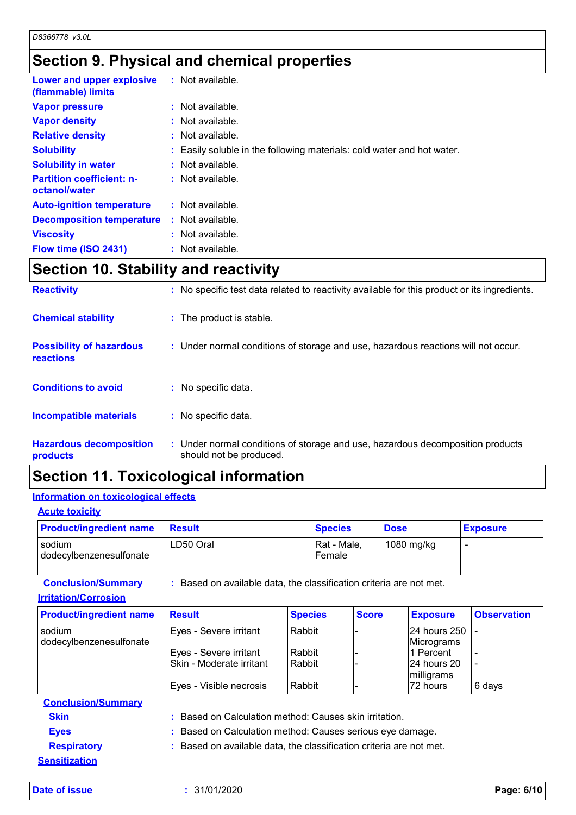### **Section 9. Physical and chemical properties**

| Lower and upper explosive<br>(flammable) limits   | : Not available.                                                       |
|---------------------------------------------------|------------------------------------------------------------------------|
| <b>Vapor pressure</b>                             | $:$ Not available.                                                     |
| <b>Vapor density</b>                              | : Not available.                                                       |
| <b>Relative density</b>                           | : Not available.                                                       |
| <b>Solubility</b>                                 | : Easily soluble in the following materials: cold water and hot water. |
| <b>Solubility in water</b>                        | : Not available.                                                       |
| <b>Partition coefficient: n-</b><br>octanol/water | $:$ Not available.                                                     |
| <b>Auto-ignition temperature</b>                  | : Not available.                                                       |
| <b>Decomposition temperature</b>                  | : Not available.                                                       |
| <b>Viscosity</b>                                  | $:$ Not available.                                                     |
| Flow time (ISO 2431)                              | : Not available.                                                       |

### **Section 10. Stability and reactivity**

| <b>Reactivity</b>                            | : No specific test data related to reactivity available for this product or its ingredients.              |
|----------------------------------------------|-----------------------------------------------------------------------------------------------------------|
| <b>Chemical stability</b>                    | : The product is stable.                                                                                  |
| <b>Possibility of hazardous</b><br>reactions | : Under normal conditions of storage and use, hazardous reactions will not occur.                         |
| <b>Conditions to avoid</b>                   | : No specific data.                                                                                       |
| <b>Incompatible materials</b>                | : No specific data.                                                                                       |
| <b>Hazardous decomposition</b><br>products   | : Under normal conditions of storage and use, hazardous decomposition products<br>should not be produced. |

### **Section 11. Toxicological information**

#### **Information on toxicological effects**

#### **Acute toxicity**

| . . <del>.</del>                  |                                                                   |                       |             |                 |
|-----------------------------------|-------------------------------------------------------------------|-----------------------|-------------|-----------------|
| <b>Product/ingredient name</b>    | <b>Result</b>                                                     | <b>Species</b>        | <b>Dose</b> | <b>Exposure</b> |
| sodium<br>dodecylbenzenesulfonate | LD50 Oral                                                         | Rat - Male,<br>Female | 1080 mg/kg  |                 |
| <b>Conclusion/Summary</b>         | Based on available data, the classification criteria are not met. |                       |             |                 |

**Irritation/Corrosion**

| <b>Product/ingredient name</b>    | <b>Result</b>                                          | <b>Species</b> | <b>Score</b> | <b>Exposure</b>            | <b>Observation</b> |
|-----------------------------------|--------------------------------------------------------|----------------|--------------|----------------------------|--------------------|
| sodium<br>dodecylbenzenesulfonate | Eyes - Severe irritant                                 | Rabbit         |              | 24 hours 250<br>Micrograms |                    |
|                                   | Eyes - Severe irritant                                 | Rabbit         |              | 1 Percent                  |                    |
|                                   | Skin - Moderate irritant                               | Rabbit         |              | 24 hours 20<br>milligrams  | -                  |
|                                   | Eyes - Visible necrosis                                | Rabbit         |              | 72 hours                   | 6 days             |
| <b>Conclusion/Summary</b>         |                                                        |                |              |                            |                    |
| <b>Skin</b>                       | : Based on Calculation method: Causes skin irritation. |                |              |                            |                    |

| onii | - Dascu UII Calculation Hictricu. Causes SNII IIIItation. |
|------|-----------------------------------------------------------|
| Eyes | : Based on Calculation method: Causes serious eye damage. |

**Respiratory :** Based on available data, the classification criteria are not met.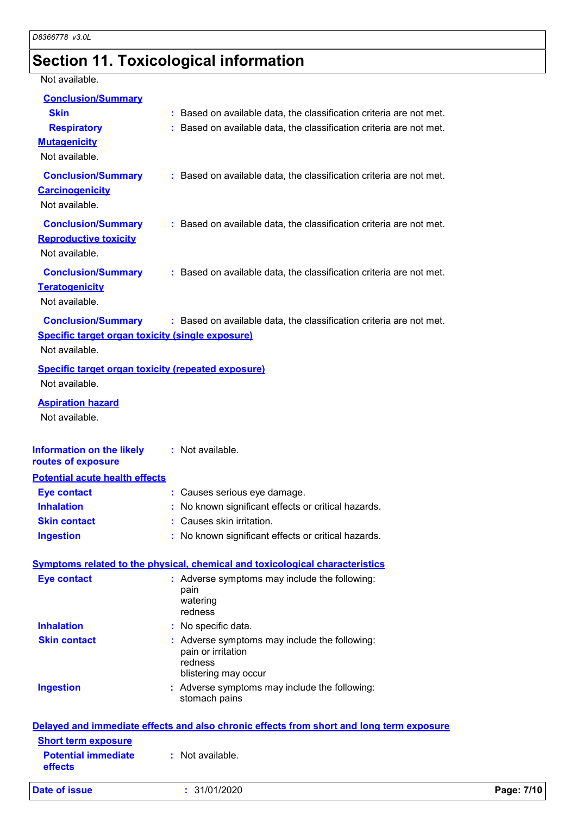# **Section 11. Toxicological information**

Not available.

| <b>Conclusion/Summary</b>                                                                              |                                                                                                                                            |            |
|--------------------------------------------------------------------------------------------------------|--------------------------------------------------------------------------------------------------------------------------------------------|------------|
| <b>Skin</b><br><b>Respiratory</b><br><b>Mutagenicity</b><br>Not available.                             | : Based on available data, the classification criteria are not met.<br>: Based on available data, the classification criteria are not met. |            |
| <b>Conclusion/Summary</b><br><b>Carcinogenicity</b><br>Not available.                                  | : Based on available data, the classification criteria are not met.                                                                        |            |
| <b>Conclusion/Summary</b><br><b>Reproductive toxicity</b><br>Not available.                            | : Based on available data, the classification criteria are not met.                                                                        |            |
| <b>Conclusion/Summary</b><br><b>Teratogenicity</b><br>Not available.                                   | : Based on available data, the classification criteria are not met.                                                                        |            |
| <b>Conclusion/Summary</b><br><b>Specific target organ toxicity (single exposure)</b><br>Not available. | : Based on available data, the classification criteria are not met.                                                                        |            |
| <b>Specific target organ toxicity (repeated exposure)</b><br>Not available.                            |                                                                                                                                            |            |
| <b>Aspiration hazard</b><br>Not available.                                                             |                                                                                                                                            |            |
| <b>Information on the likely</b><br>routes of exposure                                                 | : Not available.                                                                                                                           |            |
| <b>Potential acute health effects</b>                                                                  |                                                                                                                                            |            |
| <b>Eye contact</b>                                                                                     | : Causes serious eye damage.                                                                                                               |            |
| <b>Inhalation</b>                                                                                      | : No known significant effects or critical hazards.                                                                                        |            |
| <b>Skin contact</b>                                                                                    | : Causes skin irritation.                                                                                                                  |            |
| <b>Ingestion</b>                                                                                       | : No known significant effects or critical hazards.                                                                                        |            |
|                                                                                                        | <b>Symptoms related to the physical, chemical and toxicological characteristics</b>                                                        |            |
| <b>Eye contact</b>                                                                                     | : Adverse symptoms may include the following:<br>pain<br>watering<br>redness                                                               |            |
| <b>Inhalation</b>                                                                                      | : No specific data.                                                                                                                        |            |
| <b>Skin contact</b>                                                                                    | : Adverse symptoms may include the following:<br>pain or irritation<br>redness<br>blistering may occur                                     |            |
| <b>Ingestion</b>                                                                                       | : Adverse symptoms may include the following:<br>stomach pains                                                                             |            |
|                                                                                                        | Delayed and immediate effects and also chronic effects from short and long term exposure                                                   |            |
| <b>Short term exposure</b><br><b>Potential immediate</b><br>effects                                    | : Not available.                                                                                                                           |            |
| <b>Date of issue</b>                                                                                   | : 31/01/2020                                                                                                                               | Page: 7/10 |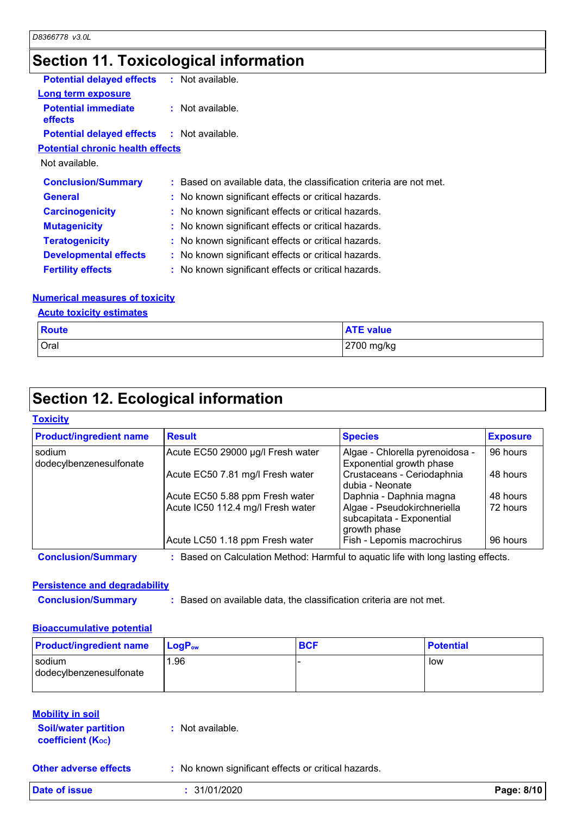# **Section 11. Toxicological information**

| <b>Potential delayed effects</b>                  | $:$ Not available.                                                  |
|---------------------------------------------------|---------------------------------------------------------------------|
| Long term exposure                                |                                                                     |
| <b>Potential immediate</b><br>effects             | $:$ Not available.                                                  |
| <b>Potential delayed effects : Not available.</b> |                                                                     |
| <b>Potential chronic health effects</b>           |                                                                     |
| Not available.                                    |                                                                     |
| <b>Conclusion/Summary</b>                         | : Based on available data, the classification criteria are not met. |
| <b>General</b>                                    | : No known significant effects or critical hazards.                 |
| <b>Carcinogenicity</b>                            | : No known significant effects or critical hazards.                 |
| <b>Mutagenicity</b>                               | : No known significant effects or critical hazards.                 |
| <b>Teratogenicity</b>                             | : No known significant effects or critical hazards.                 |
| <b>Developmental effects</b>                      | : No known significant effects or critical hazards.                 |
| <b>Fertility effects</b>                          | : No known significant effects or critical hazards.                 |
|                                                   |                                                                     |

#### **Numerical measures of toxicity**

**Acute toxicity estimates**

| <b>Route</b> | <b>ATE value</b> |
|--------------|------------------|
| Oral         | 2700 mg/kg       |

### **Section 12. Ecological information**

#### **Toxicity**

| <b>Product/ingredient name</b>    | <b>Result</b>                     | <b>Species</b>                                                           | <b>Exposure</b> |
|-----------------------------------|-----------------------------------|--------------------------------------------------------------------------|-----------------|
| sodium<br>dodecylbenzenesulfonate | Acute EC50 29000 µg/l Fresh water | Algae - Chlorella pyrenoidosa -<br>Exponential growth phase              | 96 hours        |
|                                   | Acute EC50 7.81 mg/l Fresh water  | Crustaceans - Ceriodaphnia<br>dubia - Neonate                            | 48 hours        |
|                                   | Acute EC50 5.88 ppm Fresh water   | Daphnia - Daphnia magna                                                  | 48 hours        |
|                                   | Acute IC50 112.4 mg/l Fresh water | Algae - Pseudokirchneriella<br>subcapitata - Exponential<br>growth phase | 72 hours        |
|                                   | Acute LC50 1.18 ppm Fresh water   | Fish - Lepomis macrochirus                                               | 96 hours        |

**Conclusion/Summary :** Based on Calculation Method: Harmful to aquatic life with long lasting effects.

#### **Persistence and degradability**

**Conclusion/Summary :** Based on available data, the classification criteria are not met.

#### **Bioaccumulative potential**

| <b>Product/ingredient name</b>    | <b>LogP</b> <sub>ow</sub> | <b>BCF</b> | <b>Potential</b> |
|-----------------------------------|---------------------------|------------|------------------|
| sodium<br>dodecylbenzenesulfonate | 1.96                      |            | low              |

| <b>Mobility in soil</b>                                 |                  |
|---------------------------------------------------------|------------------|
| <b>Soil/water partition</b><br><b>coefficient (Koc)</b> | : Not available. |

**Other adverse effects** : No known significant effects or critical hazards.

| Date of issue | 31/01/2020 | Page: 8/10 |
|---------------|------------|------------|
|               |            |            |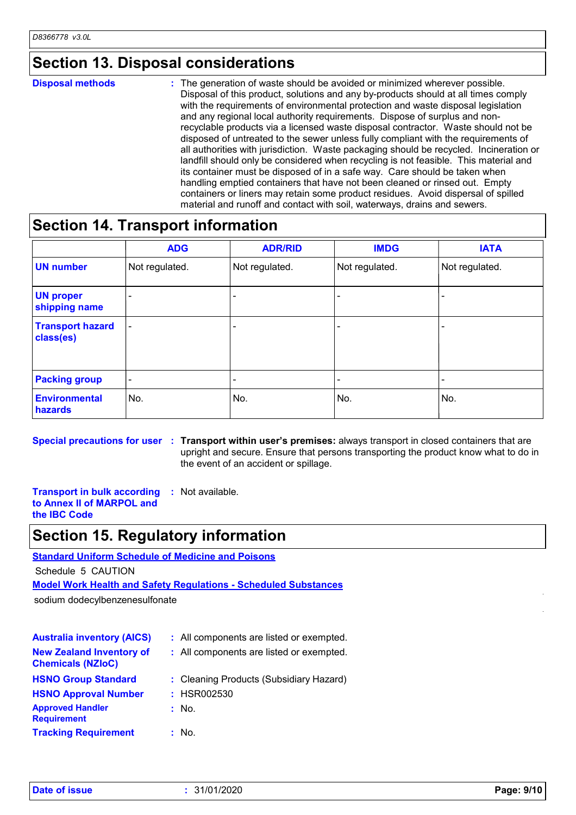### **Section 13. Disposal considerations**

#### The generation of waste should be avoided or minimized wherever possible. Disposal of this product, solutions and any by-products should at all times comply with the requirements of environmental protection and waste disposal legislation and any regional local authority requirements. Dispose of surplus and nonrecyclable products via a licensed waste disposal contractor. Waste should not be disposed of untreated to the sewer unless fully compliant with the requirements of all authorities with jurisdiction. Waste packaging should be recycled. Incineration or landfill should only be considered when recycling is not feasible. This material and its container must be disposed of in a safe way. Care should be taken when handling emptied containers that have not been cleaned or rinsed out. Empty containers or liners may retain some product residues. Avoid dispersal of spilled material and runoff and contact with soil, waterways, drains and sewers. **Disposal methods :**

### **Section 14. Transport information**

|                                      | <b>ADG</b>               | <b>ADR/RID</b> | <b>IMDG</b>    | <b>IATA</b>    |
|--------------------------------------|--------------------------|----------------|----------------|----------------|
| <b>UN number</b>                     | Not regulated.           | Not regulated. | Not regulated. | Not regulated. |
| <b>UN proper</b><br>shipping name    |                          |                |                |                |
| <b>Transport hazard</b><br>class(es) | $\overline{\phantom{a}}$ |                | -              |                |
| <b>Packing group</b>                 | $\overline{\phantom{a}}$ |                | -              |                |
| <b>Environmental</b><br>hazards      | No.                      | No.            | No.            | No.            |

**Special precautions for user Transport within user's premises:** always transport in closed containers that are **:** upright and secure. Ensure that persons transporting the product know what to do in the event of an accident or spillage.

**Transport in bulk according :** Not available. **to Annex II of MARPOL and the IBC Code**

### **Section 15. Regulatory information**

**Standard Uniform Schedule of Medicine and Poisons** Schedule 5 CAUTION

**Model Work Health and Safety Regulations - Scheduled Substances**

sodium dodecylbenzenesulfonate

| <b>Australia inventory (AICS)</b><br><b>New Zealand Inventory of</b><br><b>Chemicals (NZIoC)</b> | : All components are listed or exempted.<br>: All components are listed or exempted. |
|--------------------------------------------------------------------------------------------------|--------------------------------------------------------------------------------------|
| <b>HSNO Group Standard</b><br><b>HSNO Approval Number</b>                                        | : Cleaning Products (Subsidiary Hazard)<br>: HSR002530                               |
| <b>Approved Handler</b><br><b>Requirement</b>                                                    | : No.                                                                                |
| <b>Tracking Requirement</b>                                                                      | : No.                                                                                |